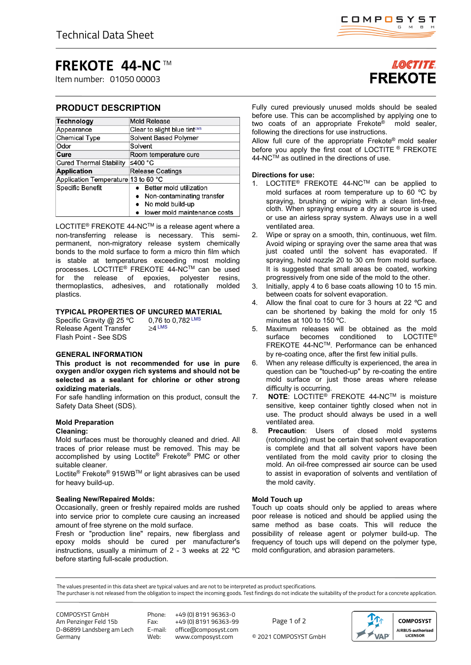# **FREKOTE 44-NC** TM

Item number: 01050 00003

# **PRODUCT DESCRIPTION**

| <b>Technology</b>                   | <b>Mold Release</b>                      |
|-------------------------------------|------------------------------------------|
| Appearance                          | Clear to slight blue tint <sup>LMS</sup> |
| <b>Chemical Type</b>                | Solvent Based Polymer                    |
| Odor                                | Solvent                                  |
| Cure                                | Room temperature cure                    |
| <b>Cured Thermal Stability</b>      | ≤400 °C                                  |
| <b>Application</b>                  | <b>Release Coatings</b>                  |
| Application Temperature 13 to 60 °C |                                          |
| Specific Benefit                    | Better mold utilization                  |
|                                     | Non-contaminating transfer               |
|                                     | No mold build-up                         |
|                                     | lower mold maintenance costs             |

LOCTITE<sup>®</sup> FREKOTE 44-NC<sup>™</sup> is a release agent where a non-transferring release is necessary. This semipermanent, non-migratory release system chemically bonds to the mold surface to form a micro thin film which is stable at temperatures exceeding most molding processes. LOCTITE® FREKOTE 44-NC™ can be used for the release of epoxies, polyester resins, thermoplastics, adhesives, and rotationally molded plastics.

# **TYPICAL PROPERTIES OF UNCURED MATERIAL**

Specific Gravity @ 25 °C 0,76 to 0,782 LMS<br>Release Agent Transfer  $>4 \text{ LMS}$ Release Agent Transfer Flash Point - See SDS

# **GENERAL INFORMATION**

**This product is not recommended for use in pure oxygen and/or oxygen rich systems and should not be selected as a sealant for chlorine or other strong oxidizing materials.**

For safe handling information on this product, consult the Safety Data Sheet (SDS).

# **Mold Preparation**

# **Cleaning:**

Mold surfaces must be thoroughly cleaned and dried. All traces of prior release must be removed. This may be accomplished by using Loctite® Frekote® PMC or other suitable cleaner.

Loctite® Frekote® 915WBTM or light abrasives can be used for heavy build-up.

# **Sealing New/Repaired Molds:**

Occasionally, green or freshly repaired molds are rushed into service prior to complete cure causing an increased amount of free styrene on the mold surface.

Fresh or "production line" repairs, new fiberglass and epoxy molds should be cured per manufacturer's instructions, usually a minimum of 2 - 3 weeks at 22 ºC before starting full-scale production.

# **LOCTITE FREKOTE**

Fully cured previously unused molds should be sealed before use. This can be accomplished by applying one to two coats of an appropriate Frekote® mold sealer, following the directions for use instructions.

Allow full cure of the appropriate Frekote® mold sealer before you apply the first coat of LOCTITE ® FREKOTE 44-NC™ as outlined in the directions of use.

# **Directions for use:**

- 1. LOCTITE® FREKOTE 44-NCTM can be applied to mold surfaces at room temperature up to 60 ºC by spraying, brushing or wiping with a clean lint-free, cloth. When spraying ensure a dry air source is used or use an airless spray system. Always use in a well ventilated area.
- 2. Wipe or spray on a smooth, thin, continuous, wet film. Avoid wiping or spraying over the same area that was just coated until the solvent has evaporated. If spraying, hold nozzle 20 to 30 cm from mold surface. It is suggested that small areas be coated, working progressively from one side of the mold to the other.
- 3. Initially, apply 4 to 6 base coats allowing 10 to 15 min. between coats for solvent evaporation.
- 4. Allow the final coat to cure for 3 hours at 22 ºC and can be shortened by baking the mold for only 15 minutes at 100 to 150 ºC.
- 5. Maximum releases will be obtained as the mold surface becomes conditioned to  $LOCTITE<sup>®</sup>$ becomes conditioned FREKOTE 44-NCTM. Performance can be enhanced by re-coating once, after the first few initial pulls.
- 6. When any release difficulty is experienced, the area in question can be "touched-up" by re-coating the entire mold surface or just those areas where release difficulty is occurring.
- 7. **NOTE**: LOCTITE® FREKOTE 44-NCTM is moisture sensitive, keep container tightly closed when not in use. The product should always be used in a well ventilated area.
- 8. **Precaution**: Users of closed mold systems (rotomolding) must be certain that solvent evaporation is complete and that all solvent vapors have been ventilated from the mold cavity prior to closing the mold. An oil-free compressed air source can be used to assist in evaporation of solvents and ventilation of the mold cavity.

# **Mold Touch up**

Touch up coats should only be applied to areas where poor release is noticed and should be applied using the same method as base coats. This will reduce the possibility of release agent or polymer build-up. The frequency of touch ups will depend on the polymer type, mold configuration, and abrasion parameters.

The values presented in this data sheet are typical values and are not to be interpreted as product specifications.

The purchaser is not released from the obligation to inspect the incoming goods. Test findings do not indicate the suitability of the product for a concrete application.

COMPOSYST GmbH Am Penzinger Feld 15b D-86899 Landsberg am Lech Germany

Phone: +49 (0) 8191 96363-0 Fax: +49 (0) 8191 96363-99 E-mail: office@composyst.com

© 2021 COMPOSYST GmbH Page 1 of 2